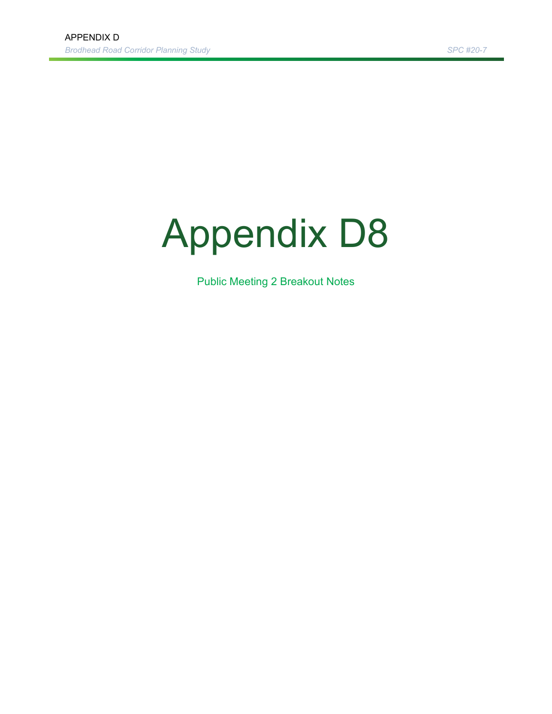# Appendix D8

Public Meeting 2 Breakout Notes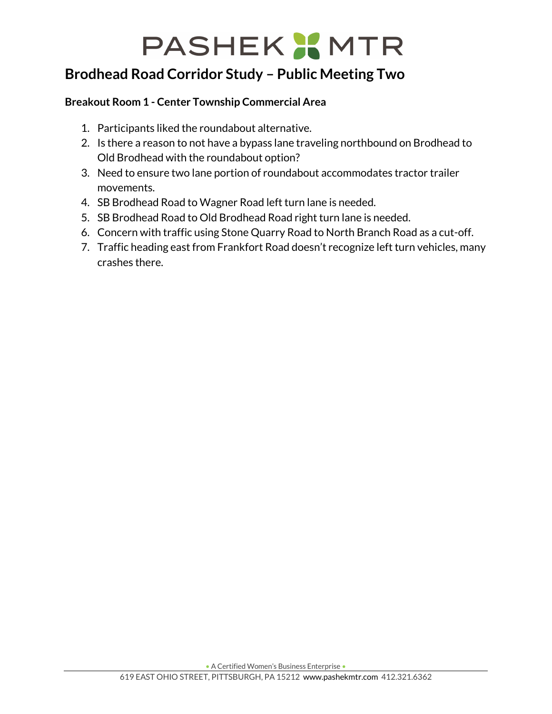## **PASHEK X MTR**

## **Brodhead Road Corridor Study – Public Meeting Two**

## **Breakout Room 1 - Center Township Commercial Area**

- 1. Participants liked the roundabout alternative.
- 2. Is there a reason to not have a bypass lane traveling northbound on Brodhead to Old Brodhead with the roundabout option?
- 3. Need to ensure two lane portion of roundabout accommodates tractor trailer movements.
- 4. SB Brodhead Road to Wagner Road left turn lane is needed.
- 5. SB Brodhead Road to Old Brodhead Road right turn lane is needed.
- 6. Concern with traffic using Stone Quarry Road to North Branch Road as a cut-off.
- 7. Traffic heading east from Frankfort Road doesn't recognize left turn vehicles, many crashes there.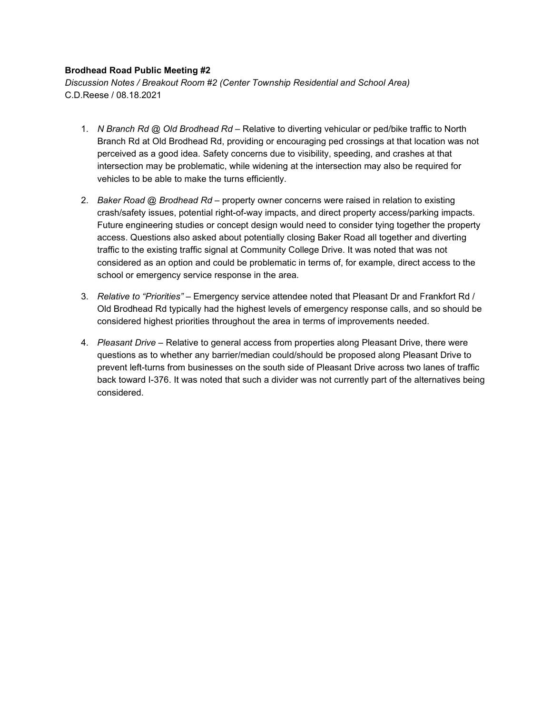#### **Brodhead Road Public Meeting #2**

*Discussion Notes / Breakout Room #2 (Center Township Residential and School Area)* C.D.Reese / 08.18.2021

- 1. *N Branch Rd @ Old Brodhead Rd* Relative to diverting vehicular or ped/bike traffic to North Branch Rd at Old Brodhead Rd, providing or encouraging ped crossings at that location was not perceived as a good idea. Safety concerns due to visibility, speeding, and crashes at that intersection may be problematic, while widening at the intersection may also be required for vehicles to be able to make the turns efficiently.
- 2. *Baker Road @ Brodhead Rd* property owner concerns were raised in relation to existing crash/safety issues, potential right-of-way impacts, and direct property access/parking impacts. Future engineering studies or concept design would need to consider tying together the property access. Questions also asked about potentially closing Baker Road all together and diverting traffic to the existing traffic signal at Community College Drive. It was noted that was not considered as an option and could be problematic in terms of, for example, direct access to the school or emergency service response in the area.
- 3. *Relative to "Priorities"* Emergency service attendee noted that Pleasant Dr and Frankfort Rd / Old Brodhead Rd typically had the highest levels of emergency response calls, and so should be considered highest priorities throughout the area in terms of improvements needed.
- 4. *Pleasant Drive* Relative to general access from properties along Pleasant Drive, there were questions as to whether any barrier/median could/should be proposed along Pleasant Drive to prevent left-turns from businesses on the south side of Pleasant Drive across two lanes of traffic back toward I-376. It was noted that such a divider was not currently part of the alternatives being considered.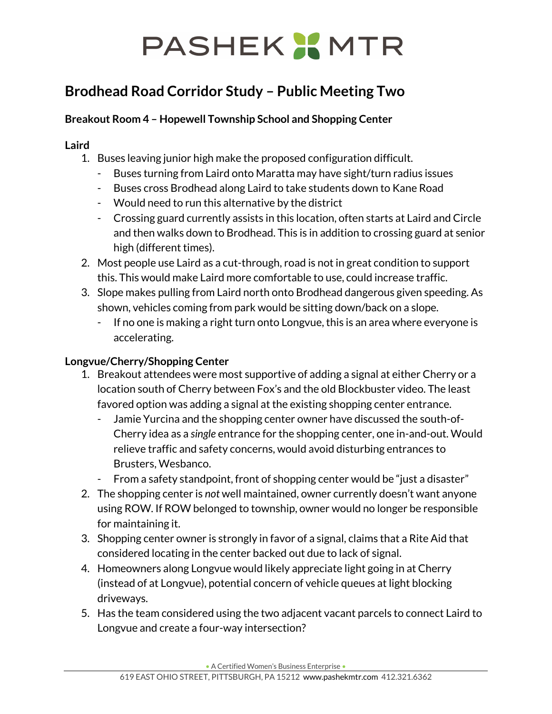## PASHEK X MTR

## **Brodhead Road Corridor Study – Public Meeting Two**

## **Breakout Room 4 – Hopewell Township School and Shopping Center**

### **Laird**

- 1. Buses leaving junior high make the proposed configuration difficult.
	- Buses turning from Laird onto Maratta may have sight/turn radius issues
	- Buses cross Brodhead along Laird to take students down to Kane Road
	- Would need to run this alternative by the district
	- Crossing guard currently assists in this location, often starts at Laird and Circle and then walks down to Brodhead. This is in addition to crossing guard at senior high (different times).
- 2. Most people use Laird as a cut-through, road is not in great condition to support this. This would make Laird more comfortable to use, could increase traffic.
- 3. Slope makes pulling from Laird north onto Brodhead dangerous given speeding. As shown, vehicles coming from park would be sitting down/back on a slope.
	- If no one is making a right turn onto Longvue, this is an area where everyone is accelerating.

## **Longvue/Cherry/Shopping Center**

- 1. Breakout attendees were most supportive of adding a signal at either Cherry or a location south of Cherry between Fox's and the old Blockbuster video. The least favored option was adding a signal at the existing shopping center entrance.
	- Jamie Yurcina and the shopping center owner have discussed the south-of-Cherry idea as a *single* entrance for the shopping center, one in-and-out. Would relieve traffic and safety concerns, would avoid disturbing entrances to Brusters, Wesbanco.
	- From a safety standpoint, front of shopping center would be "just a disaster"
- 2. The shopping center is *not* well maintained, owner currently doesn't want anyone using ROW. If ROW belonged to township, owner would no longer be responsible for maintaining it.
- 3. Shopping center owner is strongly in favor of a signal, claims that a Rite Aid that considered locating in the center backed out due to lack of signal.
- 4. Homeowners along Longvue would likely appreciate light going in at Cherry (instead of at Longvue), potential concern of vehicle queues at light blocking driveways.
- 5. Has the team considered using the two adjacent vacant parcels to connect Laird to Longvue and create a four-way intersection?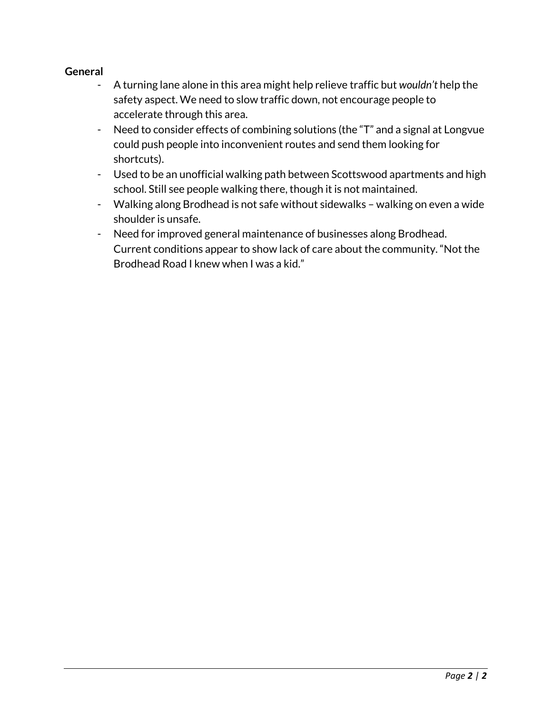### **General**

- A turning lane alone in this area might help relieve traffic but *wouldn't* help the safety aspect. We need to slow traffic down, not encourage people to accelerate through this area.
- Need to consider effects of combining solutions (the "T" and a signal at Longvue could push people into inconvenient routes and send them looking for shortcuts).
- Used to be an unofficial walking path between Scottswood apartments and high school. Still see people walking there, though it is not maintained.
- Walking along Brodhead is not safe without sidewalks walking on even a wide shoulder is unsafe.
- Need for improved general maintenance of businesses along Brodhead. Current conditions appear to show lack of care about the community. "Not the Brodhead Road I knew when I was a kid."